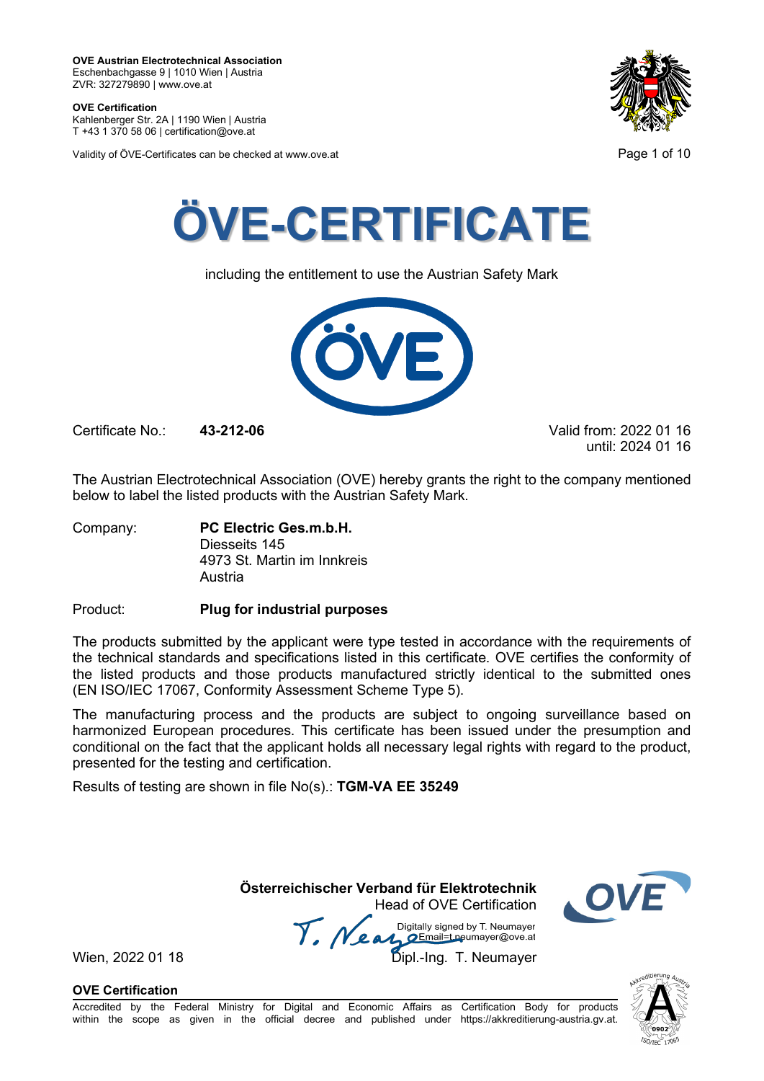**OVE Certification** Kahlenberger Str. 2A | 1190 Wien | Austria

T +43 1 370 58 06 | certification@ove.at

Validity of ÖVE-Certificates can be checked at www.ove.at **Page 1 of 10** Page 1 of 10





including the entitlement to use the Austrian Safety Mark



Certificate No.: **43-212-06** Valid from: 2022 01 16

until: 2024 01 16

The Austrian Electrotechnical Association (OVE) hereby grants the right to the company mentioned below to label the listed products with the Austrian Safety Mark.

Company: **PC Electric Ges.m.b.H.** Diesseits 145 4973 St. Martin im Innkreis Austria

Product: **Plug for industrial purposes**

The products submitted by the applicant were type tested in accordance with the requirements of the technical standards and specifications listed in this certificate. OVE certifies the conformity of the listed products and those products manufactured strictly identical to the submitted ones (EN ISO/IEC 17067, Conformity Assessment Scheme Type 5).

The manufacturing process and the products are subject to ongoing surveillance based on harmonized European procedures. This certificate has been issued under the presumption and conditional on the fact that the applicant holds all necessary legal rights with regard to the product, presented for the testing and certification.

Results of testing are shown in file No(s).: **TGM-VA EE 35249**

**Österreichischer Verband für Elektrotechnik**

Head of OVE Certification Wien, 2022 01 18 Mean Manus Signeu by Liveumayer<br>Wien, 2022 01 18 Dipl.-Ing. T. Neumayer



**OVE Certification**

Accredited by the Federal Ministry for Digital and Economic Affairs as Certification Body for products within the scope as given in the official decree and published under https://akkreditierung-austria.gv.at.

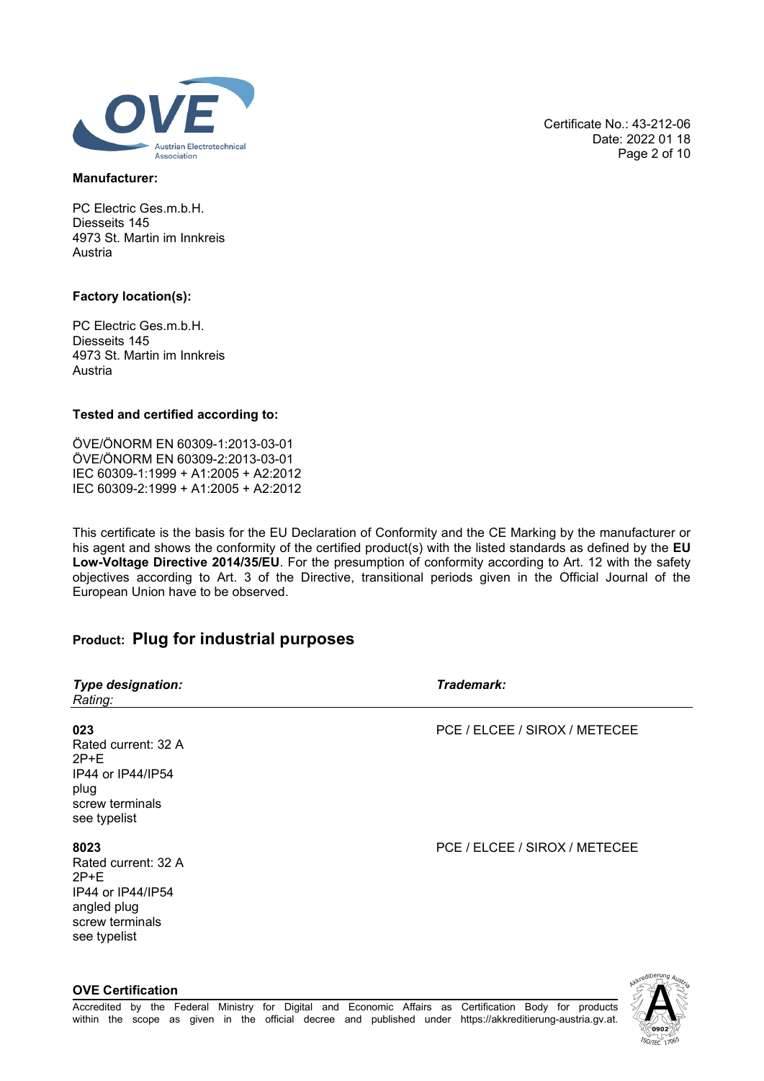

### **Manufacturer:**

PC Electric Ges.m.b.H. Diesseits 145 4973 St. Martin im Innkreis Austria

### **Factory location(s):**

PC Electric Ges.m.b.H. Diesseits 145 4973 St. Martin im Innkreis Austria

### **Tested and certified according to:**

ÖVE/ÖNORM EN 60309-1:2013-03-01 ÖVE/ÖNORM EN 60309-2:2013-03-01 IEC 60309-1:1999 + A1:2005 + A2:2012 IEC 60309-2:1999 + A1:2005 + A2:2012

This certificate is the basis for the EU Declaration of Conformity and the CE Marking by the manufacturer or his agent and shows the conformity of the certified product(s) with the listed standards as defined by the **EU Low-Voltage Directive 2014/35/EU**. For the presumption of conformity according to Art. 12 with the safety objectives according to Art. 3 of the Directive, transitional periods given in the Official Journal of the European Union have to be observed.

# **Product: Plug for industrial purposes**

| <b>Type designation:</b><br>Rating:                                                                          | Trademark:                    |
|--------------------------------------------------------------------------------------------------------------|-------------------------------|
| 023<br>Rated current: 32 A<br>$2P+E$<br>IP44 or IP44/IP54<br>plug<br>screw terminals<br>see typelist         | PCE / ELCEE / SIROX / METECEE |
| 8023<br>Rated current: 32 A<br>$2P+E$<br>IP44 or IP44/IP54<br>angled plug<br>screw terminals<br>see typelist | PCE / ELCEE / SIROX / METECEE |
| <b>OVE Certification</b>                                                                                     |                               |

Certificate No.: 43-212-06 Date: 2022 01 18 Page 2 of 10

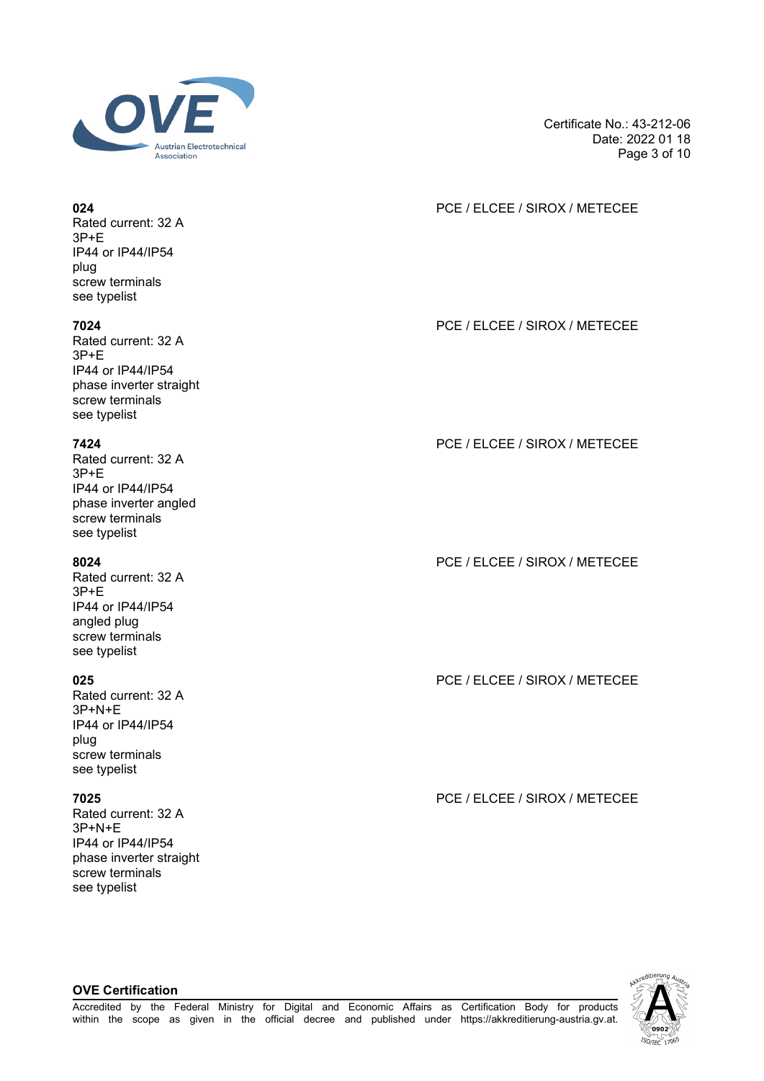

Rated current: 32 A 3P+E IP44 or IP44/IP54 plug screw terminals see typelist

Rated current: 32 A 3P+E IP44 or IP44/IP54 phase inverter straight screw terminals see typelist

Rated current: 32 A 3P+E IP44 or IP44/IP54 phase inverter angled screw terminals see typelist

Rated current: 32 A 3P+E IP44 or IP44/IP54 angled plug screw terminals see typelist

Rated current: 32 A 3P+N+E IP44 or IP44/IP54 plug screw terminals see typelist

Rated current: 32 A 3P+N+E IP44 or IP44/IP54 phase inverter straight screw terminals see typelist

**OVE Certification**

Certificate No.: 43-212-06 Date: 2022 01 18 Page 3 of 10

### **024** PCE / ELCEE / SIROX / METECEE

**7024** PCE / ELCEE / SIROX / METECEE

**7424** PCE / ELCEE / SIROX / METECEE

**8024** PCE / ELCEE / SIROX / METECEE

**025** PCE / ELCEE / SIROX / METECEE

**7025** PCE / ELCEE / SIROX / METECEE

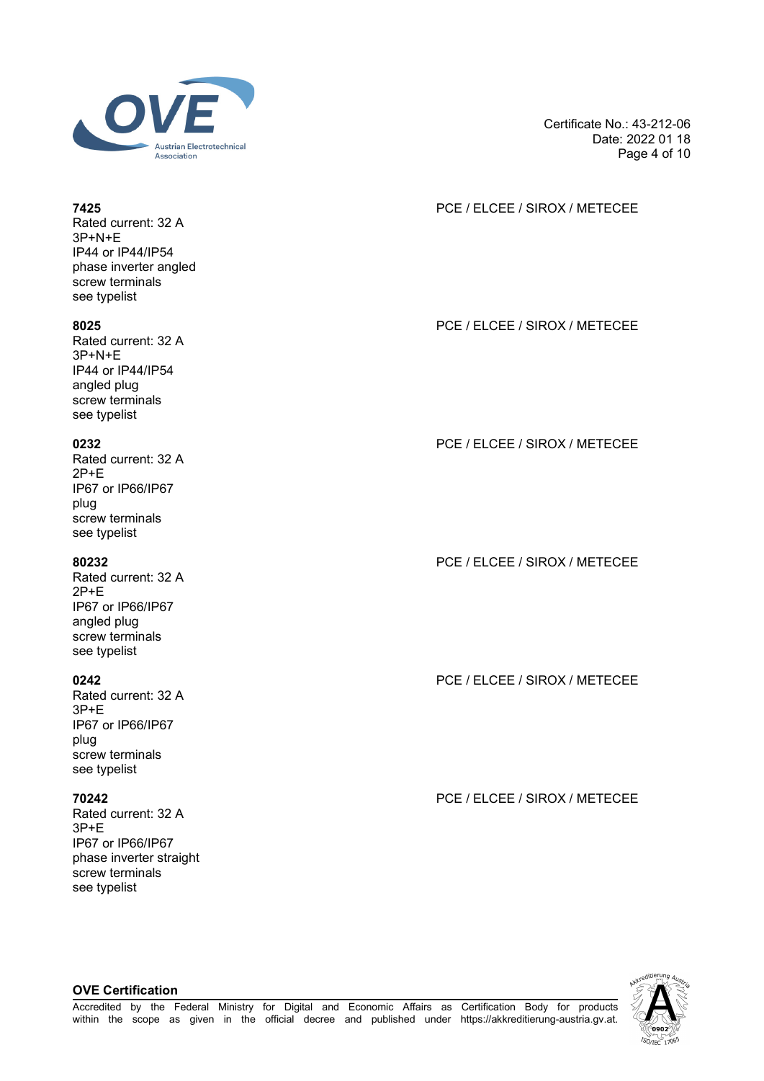

Certificate No.: 43-212-06 Date: 2022 01 18 Page 4 of 10

## **7425** PCE / ELCEE / SIROX / METECEE

**8025** PCE / ELCEE / SIROX / METECEE

**0232** PCE / ELCEE / SIROX / METECEE

**80232** PCE / ELCEE / SIROX / METECEE

**0242** PCE / ELCEE / SIROX / METECEE

**70242** PCE / ELCEE / SIROX / METECEE



Rated current: 32 A 3P+N+E IP44 or IP44/IP54 phase inverter angled screw terminals see typelist

Rated current: 32 A 3P+N+E IP44 or IP44/IP54 angled plug screw terminals see typelist

Rated current: 32 A 2P+E IP67 or IP66/IP67 plug screw terminals see typelist

Rated current: 32 A 2P+E IP67 or IP66/IP67 angled plug screw terminals see typelist

Rated current: 32 A 3P+E IP67 or IP66/IP67 plug screw terminals see typelist

Rated current: 32 A 3P+E IP67 or IP66/IP67 phase inverter straight screw terminals see typelist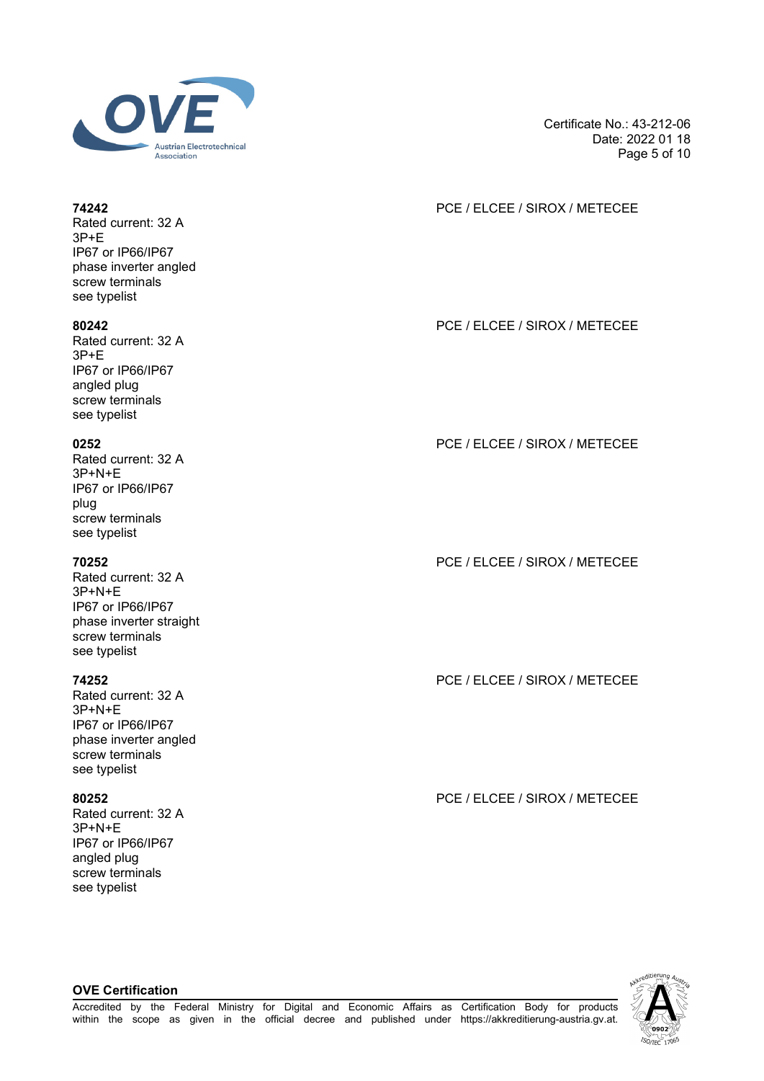

Rated current: 32 A 3P+E IP67 or IP66/IP67 phase inverter angled screw terminals see typelist

Rated current: 32 A 3P+E IP67 or IP66/IP67 angled plug screw terminals see typelist

Rated current: 32 A 3P+N+E IP67 or IP66/IP67 plug screw terminals see typelist

Rated current: 32 A 3P+N+E IP67 or IP66/IP67 phase inverter straight screw terminals see typelist

Rated current: 32 A 3P+N+E IP67 or IP66/IP67 phase inverter angled screw terminals see typelist

Rated current: 32 A 3P+N+E IP67 or IP66/IP67 angled plug screw terminals see typelist

**OVE Certification**

Certificate No.: 43-212-06 Date: 2022 01 18 Page 5 of 10

### **74242** PCE / ELCEE / SIROX / METECEE

**80242** PCE / ELCEE / SIROX / METECEE

# **0252** PCE / ELCEE / SIROX / METECEE

**70252** PCE / ELCEE / SIROX / METECEE

**74252** PCE / ELCEE / SIROX / METECEE

**80252** PCE / ELCEE / SIROX / METECEE

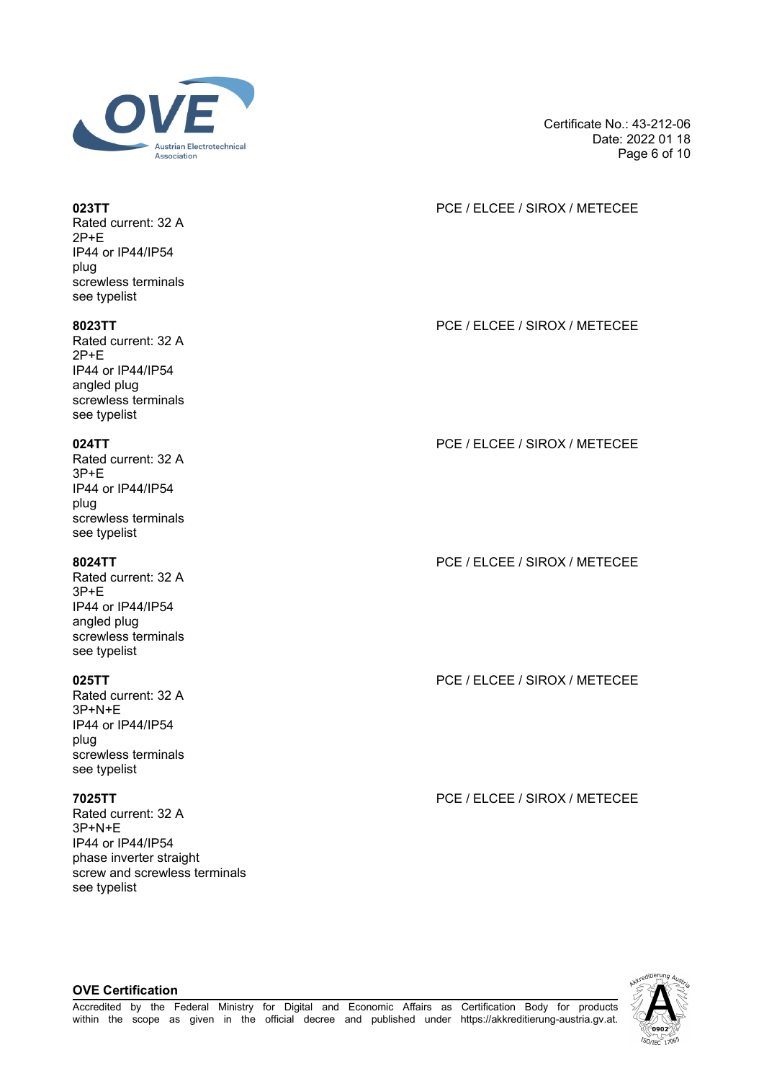

Rated current: 32 A 2P+E IP44 or IP44/IP54 plug screwless terminals see typelist

Rated current: 32 A 2P+E IP44 or IP44/IP54 angled plug screwless terminals see typelist

Rated current: 32 A 3P+E IP44 or IP44/IP54 plug screwless terminals see typelist

Rated current: 32 A 3P+E IP44 or IP44/IP54 angled plug screwless terminals see typelist

Rated current: 32 A 3P+N+E IP44 or IP44/IP54 plug screwless terminals see typelist

**OVE Certification**

Rated current: 32 A 3P+N+E IP44 or IP44/IP54 phase inverter straight screw and screwless terminals see typelist

Certificate No.: 43-212-06 Date: 2022 01 18 Page 6 of 10

### **023TT** PCE / ELCEE / SIROX / METECEE

**8023TT** PCE / ELCEE / SIROX / METECEE

## **024TT** PCE / ELCEE / SIROX / METECEE

**8024TT** PCE / ELCEE / SIROX / METECEE

**025TT** PCE / ELCEE / SIROX / METECEE

**7025TT** PCE / ELCEE / SIROX / METECEE

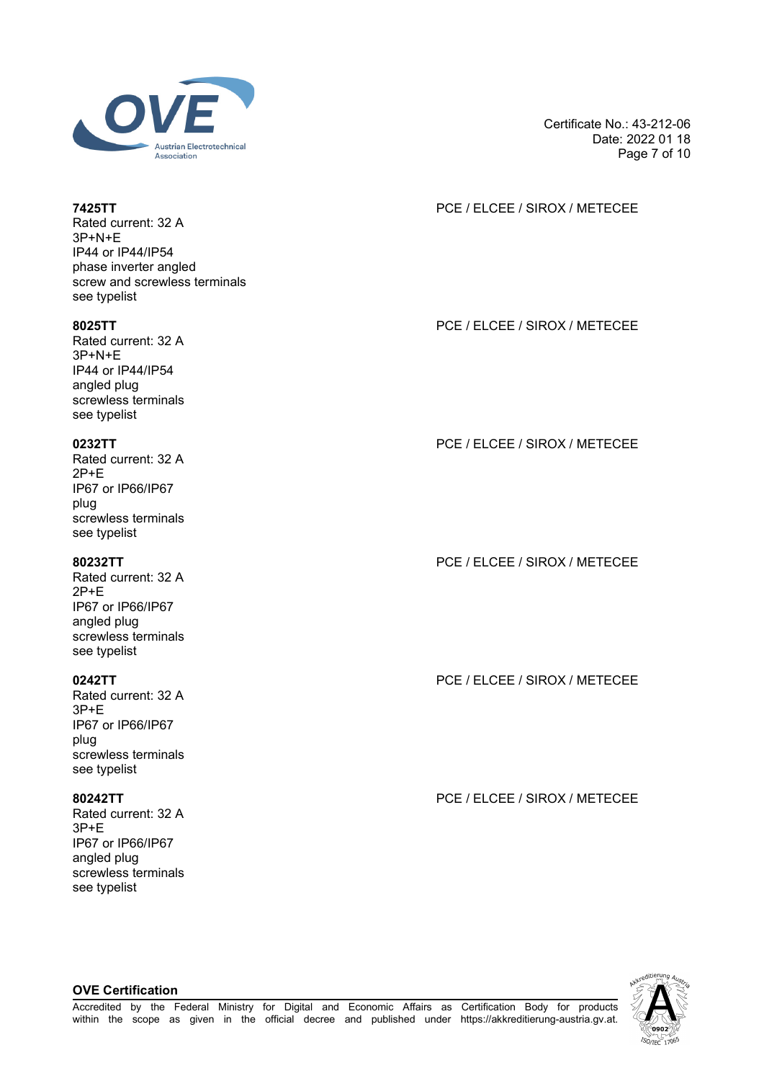

Rated current: 32 A 3P+N+E IP44 or IP44/IP54 phase inverter angled screw and screwless terminals see typelist

Rated current: 32 A 3P+N+E IP44 or IP44/IP54 angled plug screwless terminals see typelist

Rated current: 32 A 2P+E IP67 or IP66/IP67 plug screwless terminals see typelist

Rated current: 32 A 2P+E IP67 or IP66/IP67 angled plug screwless terminals see typelist

Rated current: 32 A 3P+E IP67 or IP66/IP67 plug screwless terminals see typelist

Rated current: 32 A 3P+E IP67 or IP66/IP67 angled plug screwless terminals see typelist

**7425TT** PCE / ELCEE / SIROX / METECEE

Certificate No.: 43-212-06

Date: 2022 01 18 Page 7 of 10

**8025TT** PCE / ELCEE / SIROX / METECEE

**0232TT** PCE / ELCEE / SIROX / METECEE

**80232TT** PCE / ELCEE / SIROX / METECEE

**0242TT** PCE / ELCEE / SIROX / METECEE

**80242TT** PCE / ELCEE / SIROX / METECEE

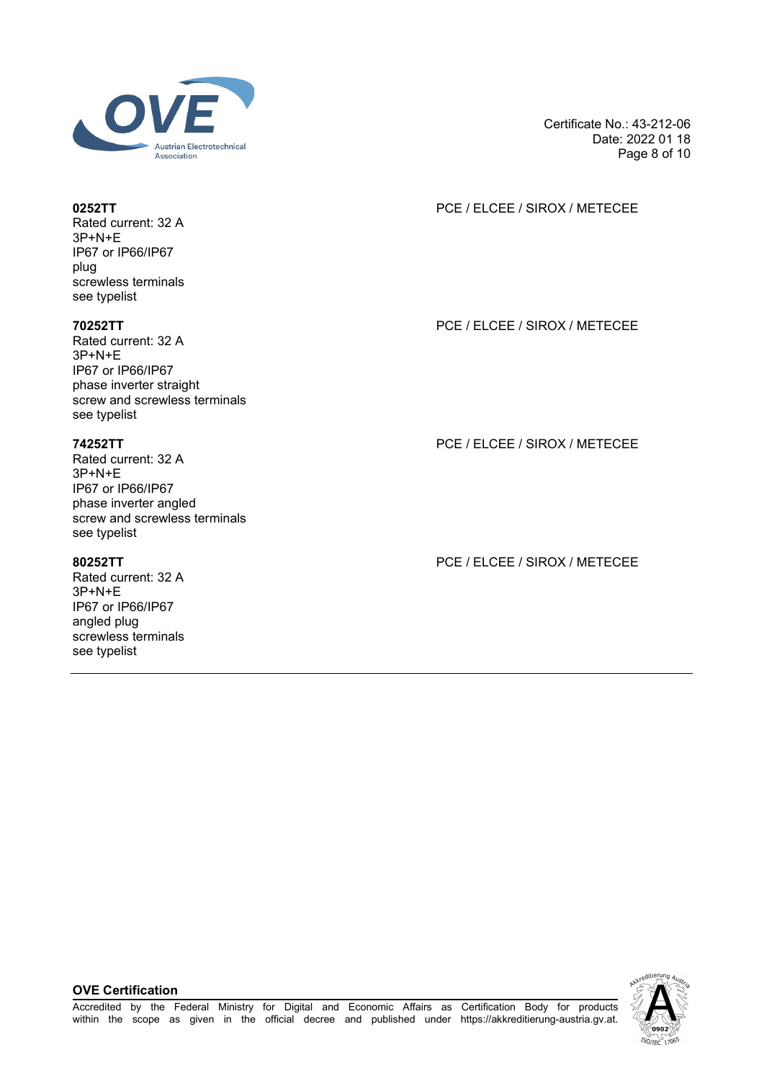

Rated current: 32 A 3P+N+E IP67 or IP66/IP67 plug screwless terminals see typelist

Rated current: 32 A 3P+N+E IP67 or IP66/IP67 phase inverter straight screw and screwless terminals see typelist

Rated current: 32 A 3P+N+E IP67 or IP66/IP67 phase inverter angled screw and screwless terminals see typelist

Rated current: 32 A 3P+N+E IP67 or IP66/IP67 angled plug screwless terminals see typelist

Certificate No.: 43-212-06 Date: 2022 01 18 Page 8 of 10

### **0252TT** PCE / ELCEE / SIROX / METECEE

**70252TT** PCE / ELCEE / SIROX / METECEE

**74252TT** PCE / ELCEE / SIROX / METECEE

**80252TT** PCE / ELCEE / SIROX / METECEE

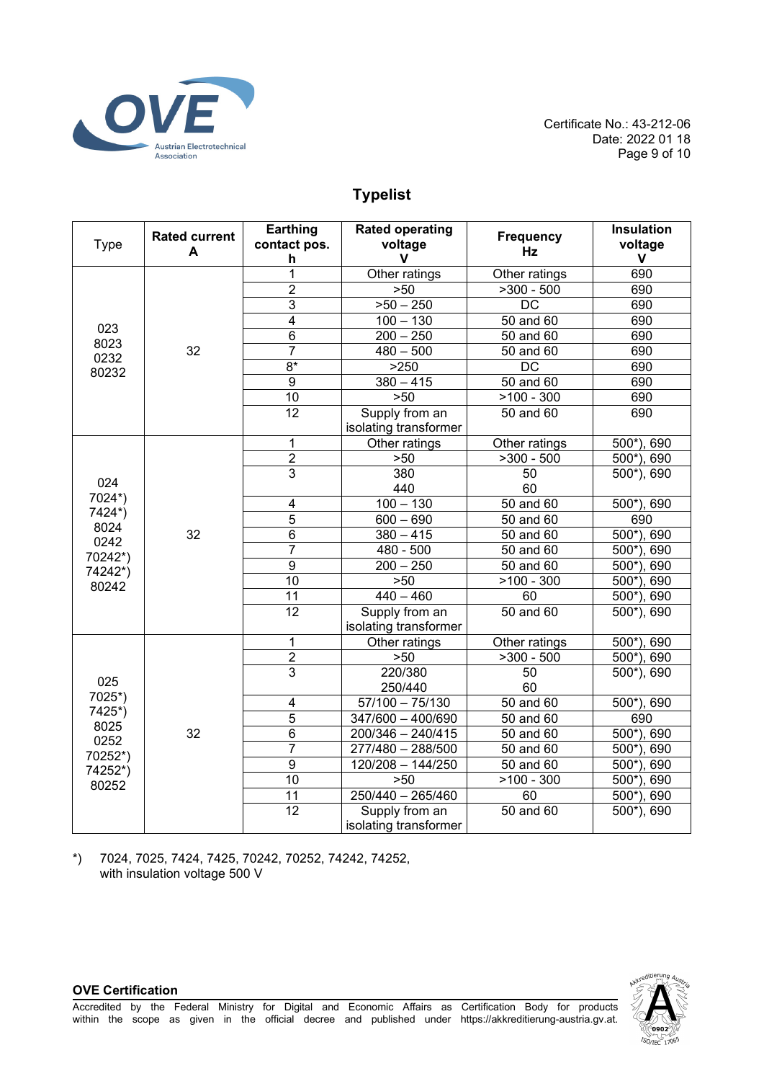

Certificate No.: 43-212-06 Date: 2022 01 18 Page 9 of 10

# **Typelist**

| <b>Type</b>                                                            | <b>Rated current</b><br>A | Earthing<br>contact pos.<br>h | <b>Rated operating</b><br>voltage<br>v  | <b>Frequency</b><br>Hz  | <b>Insulation</b><br>voltage<br>$\mathbf{V}$ |
|------------------------------------------------------------------------|---------------------------|-------------------------------|-----------------------------------------|-------------------------|----------------------------------------------|
| 023<br>8023<br>0232<br>80232                                           | 32                        | $\overline{1}$                | Other ratings                           | Other ratings           | 690                                          |
|                                                                        |                           | $\overline{2}$                | >50                                     | $>300 - 500$            | 690                                          |
|                                                                        |                           | $\overline{3}$                | $>50 - 250$                             | $\overline{DC}$         | 690                                          |
|                                                                        |                           | 4                             | $100 - 130$                             | 50 and 60               | 690                                          |
|                                                                        |                           | $\overline{6}$                | $200 - 250$                             | $50$ and $60$           | 690                                          |
|                                                                        |                           | 7                             | $480 - 500$                             | 50 and 60               | 690                                          |
|                                                                        |                           | $8*$                          | >250                                    | $\overline{DC}$         | 690                                          |
|                                                                        |                           | $\overline{9}$                | $380 - 415$                             | 50 and 60               | 690                                          |
|                                                                        |                           | 10                            | $>50$                                   | $>100 - 300$            | 690                                          |
|                                                                        |                           | 12                            | Supply from an<br>isolating transformer | 50 and 60               | 690                                          |
|                                                                        | 32                        | 1                             | Other ratings                           | Other ratings           | 500*), 690                                   |
|                                                                        |                           | $\overline{2}$                | >50                                     | $>300 - 500$            | $500$ <sup>*</sup> ), 690                    |
| 024                                                                    |                           | $\overline{3}$                | 380<br>440                              | 50<br>60                | 500*), 690                                   |
| 7024*)                                                                 |                           | 4                             | $100 - 130$                             | 50 and 60               | 500*), 690                                   |
| 7424*)                                                                 |                           | $\overline{5}$                | $600 - 690$                             | 50 and 60               | 690                                          |
| 8024                                                                   |                           | $\overline{6}$                | $380 - 415$                             | 50 and 60               | 500*), 690                                   |
| 0242                                                                   |                           | $\overline{7}$                | 480 - 500                               | 50 and 60               | $500*$ ).<br>690                             |
| 70242*)<br>74242*)                                                     |                           | $\overline{9}$                | $\overline{200} - 250$                  | 50 and 60               | $500*)$<br>690                               |
|                                                                        |                           | $\overline{10}$               | $>50$                                   | $>100 - 300$            | $500^*$ ).<br>690                            |
| 80242                                                                  |                           | 11                            | $\sqrt{440} - 460$                      | 60                      | $500*$ ).<br>690                             |
|                                                                        |                           | 12                            | Supply from an<br>isolating transformer | 50 and 60               | 500*), 690                                   |
| 025<br>7025*)<br>7425*)<br>8025<br>0252<br>70252*)<br>74252*)<br>80252 | 32                        | 1                             | Other ratings                           | Other ratings           | $\overline{500^*}$ , 690                     |
|                                                                        |                           | $\overline{2}$                | $>50$                                   | $\overline{>}300 - 500$ | $\overline{500^*}$ , 690                     |
|                                                                        |                           | $\overline{3}$                | 220/380<br>250/440                      | 50<br>60                | $500$ <sup>*</sup> ), 690                    |
|                                                                        |                           | $\overline{\mathbf{4}}$       | $57/100 - 75/130$                       | $50$ and $60$           | 500*), 690                                   |
|                                                                        |                           | 5                             | 347/600 - 400/690                       | 50 and 60               | 690                                          |
|                                                                        |                           | 6                             | 200/346 - 240/415                       | 50 and 60               | $500^*$ ), 690                               |
|                                                                        |                           | 7                             | 277/480 - 288/500                       | 50 and 60               | 500*), 690                                   |
|                                                                        |                           | $\overline{9}$                | 120/208 - 144/250                       | 50 and 60               | 500*), 690                                   |
|                                                                        |                           | $\overline{10}$               | $>50$                                   | $\sqrt{2100} - 300$     | $500^*$ ),<br>690                            |
|                                                                        |                           | $\overline{11}$               | $250/440 - 265/460$                     | 60                      | $\overline{500^*}$ , 690                     |
|                                                                        |                           | 12                            | Supply from an<br>isolating transformer | 50 and 60               | $500$ <sup>*</sup> ), 690                    |

\*) 7024, 7025, 7424, 7425, 70242, 70252, 74242, 74252, with insulation voltage 500 V